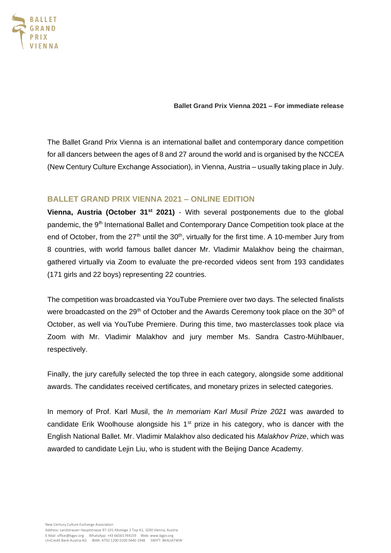

**Ballet Grand Prix Vienna 2021 – For immediate release**

The Ballet Grand Prix Vienna is an international ballet and contemporary dance competition for all dancers between the ages of 8 and 27 around the world and is organised by the NCCEA (New Century Culture Exchange Association)*,* in Vienna, Austria – usually taking place in July.

# **BALLET GRAND PRIX VIENNA 2021 – ONLINE EDITION**

**Vienna, Austria (October 31st 2021)** - With several postponements due to the global pandemic, the 9<sup>th</sup> International Ballet and Contemporary Dance Competition took place at the end of October, from the 27<sup>th</sup> until the 30<sup>th</sup>, virtually for the first time. A 10-member Jury from 8 countries, with world famous ballet dancer Mr. Vladimir Malakhov being the chairman, gathered virtually via Zoom to evaluate the pre-recorded videos sent from 193 candidates (171 girls and 22 boys) representing 22 countries.

The competition was broadcasted via YouTube Premiere over two days. The selected finalists were broadcasted on the 29<sup>th</sup> of October and the Awards Ceremony took place on the 30<sup>th</sup> of October, as well via YouTube Premiere. During this time, two masterclasses took place via Zoom with Mr. Vladimir Malakhov and jury member Ms. Sandra Castro-Mühlbauer, respectively.

Finally, the jury carefully selected the top three in each category, alongside some additional awards. The candidates received certificates, and monetary prizes in selected categories.

In memory of Prof. Karl Musil, the *In memoriam Karl Musil Prize 2021* was awarded to candidate Erik Woolhouse alongside his  $1<sup>st</sup>$  prize in his category, who is dancer with the English National Ballet. Mr. Vladimir Malakhov also dedicated his *Malakhov Prize*, which was awarded to candidate Lejin Liu, who is student with the Beijing Dance Academy.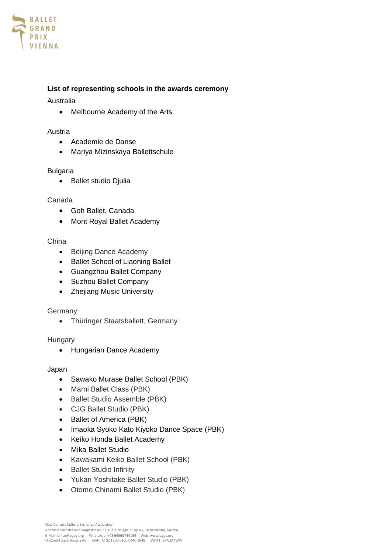

# **List of representing schools in the awards ceremony**

# Australia

• Melbourne Academy of the Arts

## Austria

- Academie de Danse
- Mariya Mizinskaya Ballettschule

# Bulgaria

• Ballet studio Djulia

# Canada

- Goh Ballet, Canada
- Mont Royal Ballet Academy

## China

- Beijing Dance Academy
- Ballet School of Liaoning Ballet
- Guangzhou Ballet Company
- Suzhou Ballet Company
- Zhejiang Music University

# Germany

• Thüringer Staatsballett, Germany

# Hungary

• Hungarian Dance Academy

#### Japan

- Sawako Murase Ballet School (PBK)
- Mami Ballet Class (PBK)
- Ballet Studio Assemble (PBK)
- CJG Ballet Studio (PBK)
- Ballet of America (PBK)
- Imaoka Syoko Kato Kiyoko Dance Space (PBK)
- Keiko Honda Ballet Academy
- Mika Ballet Studio
- Kawakami Keiko Ballet School (PBK)
- Ballet Studio Infinity
- Yukari Yoshitake Ballet Studio (PBK)
- Otomo Chinami Ballet Studio (PBK)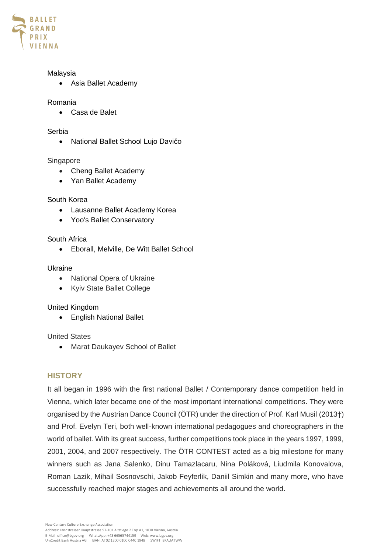

## Malaysia

• Asia Ballet Academy

## Romania

• Casa de Balet

#### Serbia

• National Ballet School Lujo Davičo

#### Singapore

- Cheng Ballet Academy
- Yan Ballet Academy

# South Korea

- Lausanne Ballet Academy Korea
- Yoo's Ballet Conservatory

# South Africa

• Eborall, Melville, De Witt Ballet School

#### Ukraine

- National Opera of Ukraine
- Kyiv State Ballet College

# United Kingdom

• English National Ballet

# United States

• Marat Daukayev School of Ballet

# **HISTORY**

It all began in 1996 with the first national Ballet / Contemporary dance competition held in Vienna, which later became one of the most important international competitions. They were organised by the Austrian Dance Council (ÖTR) under the direction of Prof. Karl Musil (2013†) and Prof. Evelyn Teri, both well-known international pedagogues and choreographers in the world of ballet. With its great success, further competitions took place in the years 1997, 1999, 2001, 2004, and 2007 respectively. The ÖTR CONTEST acted as a big milestone for many winners such as Jana Salenko, Dinu Tamazlacaru, Nina Poláková, Liudmila Konovalova, Roman Lazik, Mihail Sosnovschi, Jakob Feyferlik, Daniil Simkin and many more, who have successfully reached major stages and achievements all around the world.